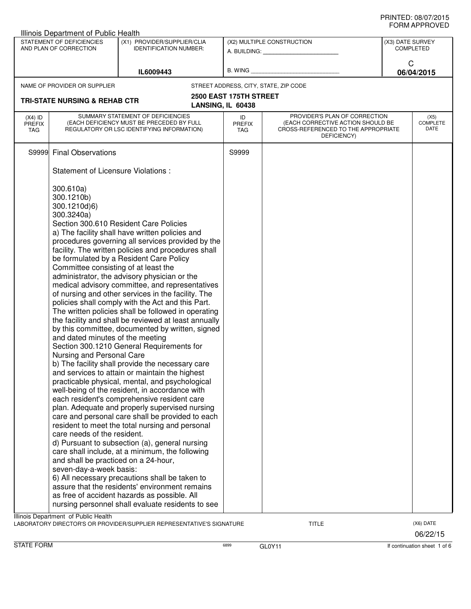|                                   | Illinois Department of Public Health                                                                                                                                                                                                                             |                                                                                                                                                                                                                                                                                                                                                                                                                                                                                                                                                                                                                                                                                                                                                                                                                                                                                                                                                                                                                                                                                                                                                                                                                                                                                                                                                                                                                 |                                             |                                                                                                                          |                  |                                 |
|-----------------------------------|------------------------------------------------------------------------------------------------------------------------------------------------------------------------------------------------------------------------------------------------------------------|-----------------------------------------------------------------------------------------------------------------------------------------------------------------------------------------------------------------------------------------------------------------------------------------------------------------------------------------------------------------------------------------------------------------------------------------------------------------------------------------------------------------------------------------------------------------------------------------------------------------------------------------------------------------------------------------------------------------------------------------------------------------------------------------------------------------------------------------------------------------------------------------------------------------------------------------------------------------------------------------------------------------------------------------------------------------------------------------------------------------------------------------------------------------------------------------------------------------------------------------------------------------------------------------------------------------------------------------------------------------------------------------------------------------|---------------------------------------------|--------------------------------------------------------------------------------------------------------------------------|------------------|---------------------------------|
|                                   | STATEMENT OF DEFICIENCIES<br>AND PLAN OF CORRECTION                                                                                                                                                                                                              | (X1) PROVIDER/SUPPLIER/CLIA<br><b>IDENTIFICATION NUMBER:</b>                                                                                                                                                                                                                                                                                                                                                                                                                                                                                                                                                                                                                                                                                                                                                                                                                                                                                                                                                                                                                                                                                                                                                                                                                                                                                                                                                    |                                             | (X2) MULTIPLE CONSTRUCTION<br>A. BUILDING: A. BUILDING:                                                                  | (X3) DATE SURVEY | <b>COMPLETED</b>                |
|                                   |                                                                                                                                                                                                                                                                  | IL6009443                                                                                                                                                                                                                                                                                                                                                                                                                                                                                                                                                                                                                                                                                                                                                                                                                                                                                                                                                                                                                                                                                                                                                                                                                                                                                                                                                                                                       | B. WING                                     |                                                                                                                          | C                | 06/04/2015                      |
|                                   | NAME OF PROVIDER OR SUPPLIER                                                                                                                                                                                                                                     |                                                                                                                                                                                                                                                                                                                                                                                                                                                                                                                                                                                                                                                                                                                                                                                                                                                                                                                                                                                                                                                                                                                                                                                                                                                                                                                                                                                                                 |                                             | STREET ADDRESS, CITY, STATE, ZIP CODE                                                                                    |                  |                                 |
|                                   | <b>TRI-STATE NURSING &amp; REHAB CTR</b>                                                                                                                                                                                                                         |                                                                                                                                                                                                                                                                                                                                                                                                                                                                                                                                                                                                                                                                                                                                                                                                                                                                                                                                                                                                                                                                                                                                                                                                                                                                                                                                                                                                                 | 2500 EAST 175TH STREET<br>LANSING, IL 60438 |                                                                                                                          |                  |                                 |
| $(X4)$ ID<br><b>PREFIX</b><br>TAG |                                                                                                                                                                                                                                                                  | SUMMARY STATEMENT OF DEFICIENCIES<br>(EACH DEFICIENCY MUST BE PRECEDED BY FULL<br>REGULATORY OR LSC IDENTIFYING INFORMATION)                                                                                                                                                                                                                                                                                                                                                                                                                                                                                                                                                                                                                                                                                                                                                                                                                                                                                                                                                                                                                                                                                                                                                                                                                                                                                    | ID<br><b>PREFIX</b><br>TAG.                 | PROVIDER'S PLAN OF CORRECTION<br>(EACH CORRECTIVE ACTION SHOULD BE<br>CROSS-REFERENCED TO THE APPROPRIATE<br>DEFICIENCY) |                  | (X5)<br><b>COMPLETE</b><br>DATE |
| S9999                             | <b>Final Observations</b>                                                                                                                                                                                                                                        |                                                                                                                                                                                                                                                                                                                                                                                                                                                                                                                                                                                                                                                                                                                                                                                                                                                                                                                                                                                                                                                                                                                                                                                                                                                                                                                                                                                                                 | S9999                                       |                                                                                                                          |                  |                                 |
|                                   | Statement of Licensure Violations :                                                                                                                                                                                                                              |                                                                                                                                                                                                                                                                                                                                                                                                                                                                                                                                                                                                                                                                                                                                                                                                                                                                                                                                                                                                                                                                                                                                                                                                                                                                                                                                                                                                                 |                                             |                                                                                                                          |                  |                                 |
|                                   | 300.610a)<br>300.1210b)<br>300.1210d)6)<br>300.3240a)<br>Committee consisting of at least the<br>and dated minutes of the meeting<br>Nursing and Personal Care<br>care needs of the resident.<br>and shall be practiced on a 24-hour,<br>seven-day-a-week basis: | Section 300.610 Resident Care Policies<br>a) The facility shall have written policies and<br>procedures governing all services provided by the<br>facility. The written policies and procedures shall<br>be formulated by a Resident Care Policy<br>administrator, the advisory physician or the<br>medical advisory committee, and representatives<br>of nursing and other services in the facility. The<br>policies shall comply with the Act and this Part.<br>The written policies shall be followed in operating<br>the facility and shall be reviewed at least annually<br>by this committee, documented by written, signed<br>Section 300.1210 General Requirements for<br>b) The facility shall provide the necessary care<br>and services to attain or maintain the highest<br>practicable physical, mental, and psychological<br>well-being of the resident, in accordance with<br>each resident's comprehensive resident care<br>plan. Adequate and properly supervised nursing<br>care and personal care shall be provided to each<br>resident to meet the total nursing and personal<br>d) Pursuant to subsection (a), general nursing<br>care shall include, at a minimum, the following<br>6) All necessary precautions shall be taken to<br>assure that the residents' environment remains<br>as free of accident hazards as possible. All<br>nursing personnel shall evaluate residents to see |                                             |                                                                                                                          |                  |                                 |
|                                   | Illinois Department of Public Health                                                                                                                                                                                                                             | LABORATORY DIRECTOR'S OR PROVIDER/SUPPLIER REPRESENTATIVE'S SIGNATURE                                                                                                                                                                                                                                                                                                                                                                                                                                                                                                                                                                                                                                                                                                                                                                                                                                                                                                                                                                                                                                                                                                                                                                                                                                                                                                                                           |                                             | TITLE                                                                                                                    |                  | (X6) DATE<br>06/22/15           |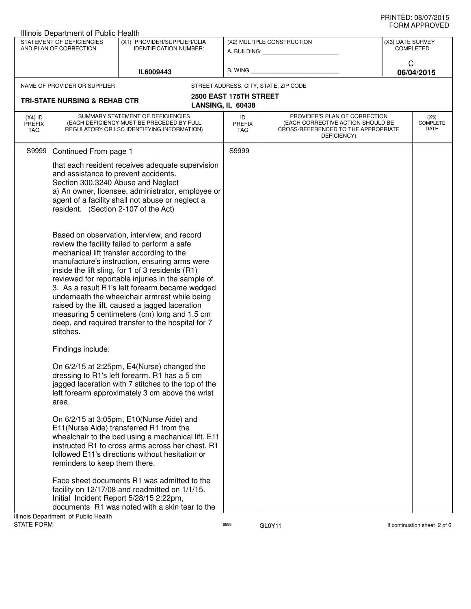|                                                                                                                     | Illinois Department of Public Health                                                                               |                                                                                                                                                                                                                                                                                                                                                                                                                                                                                                                                                              |                                                         |                                                                                                                          |                 |                                 |
|---------------------------------------------------------------------------------------------------------------------|--------------------------------------------------------------------------------------------------------------------|--------------------------------------------------------------------------------------------------------------------------------------------------------------------------------------------------------------------------------------------------------------------------------------------------------------------------------------------------------------------------------------------------------------------------------------------------------------------------------------------------------------------------------------------------------------|---------------------------------------------------------|--------------------------------------------------------------------------------------------------------------------------|-----------------|---------------------------------|
| STATEMENT OF DEFICIENCIES<br>(X1) PROVIDER/SUPPLIER/CLIA<br>AND PLAN OF CORRECTION<br><b>IDENTIFICATION NUMBER:</b> |                                                                                                                    |                                                                                                                                                                                                                                                                                                                                                                                                                                                                                                                                                              | (X2) MULTIPLE CONSTRUCTION<br>A. BUILDING: A. BUILDING: | (X3) DATE SURVEY<br><b>COMPLETED</b>                                                                                     |                 |                                 |
|                                                                                                                     |                                                                                                                    | IL6009443                                                                                                                                                                                                                                                                                                                                                                                                                                                                                                                                                    | B. WING                                                 |                                                                                                                          | C<br>06/04/2015 |                                 |
|                                                                                                                     | NAME OF PROVIDER OR SUPPLIER                                                                                       |                                                                                                                                                                                                                                                                                                                                                                                                                                                                                                                                                              |                                                         | STREET ADDRESS, CITY, STATE, ZIP CODE                                                                                    |                 |                                 |
|                                                                                                                     | <b>TRI-STATE NURSING &amp; REHAB CTR</b>                                                                           |                                                                                                                                                                                                                                                                                                                                                                                                                                                                                                                                                              | 2500 EAST 175TH STREET<br>LANSING, IL 60438             |                                                                                                                          |                 |                                 |
| $(X4)$ ID<br><b>PREFIX</b><br>TAG                                                                                   |                                                                                                                    | SUMMARY STATEMENT OF DEFICIENCIES<br>(EACH DEFICIENCY MUST BE PRECEDED BY FULL<br>REGULATORY OR LSC IDENTIFYING INFORMATION)                                                                                                                                                                                                                                                                                                                                                                                                                                 | ID<br><b>PREFIX</b><br>TAG                              | PROVIDER'S PLAN OF CORRECTION<br>(EACH CORRECTIVE ACTION SHOULD BE<br>CROSS-REFERENCED TO THE APPROPRIATE<br>DEFICIENCY) |                 | (X5)<br><b>COMPLETE</b><br>DATE |
| S9999                                                                                                               | Continued From page 1                                                                                              |                                                                                                                                                                                                                                                                                                                                                                                                                                                                                                                                                              | S9999                                                   |                                                                                                                          |                 |                                 |
|                                                                                                                     | and assistance to prevent accidents.<br>Section 300.3240 Abuse and Neglect<br>resident. (Section 2-107 of the Act) | that each resident receives adequate supervision<br>a) An owner, licensee, administrator, employee or<br>agent of a facility shall not abuse or neglect a                                                                                                                                                                                                                                                                                                                                                                                                    |                                                         |                                                                                                                          |                 |                                 |
|                                                                                                                     | stitches.                                                                                                          | Based on observation, interview, and record<br>review the facility failed to perform a safe<br>mechanical lift transfer according to the<br>manufacture's instruction, ensuring arms were<br>inside the lift sling, for 1 of 3 residents (R1)<br>reviewed for reportable injuries in the sample of<br>3. As a result R1's left forearm became wedged<br>underneath the wheelchair armrest while being<br>raised by the lift, caused a jagged laceration<br>measuring 5 centimeters (cm) long and 1.5 cm<br>deep, and required transfer to the hospital for 7 |                                                         |                                                                                                                          |                 |                                 |
|                                                                                                                     | Findings include:                                                                                                  |                                                                                                                                                                                                                                                                                                                                                                                                                                                                                                                                                              |                                                         |                                                                                                                          |                 |                                 |
|                                                                                                                     | area.                                                                                                              | On 6/2/15 at 2:25pm, E4(Nurse) changed the<br>dressing to R1's left forearm. R1 has a 5 cm<br>jagged laceration with 7 stitches to the top of the<br>left forearm approximately 3 cm above the wrist                                                                                                                                                                                                                                                                                                                                                         |                                                         |                                                                                                                          |                 |                                 |
|                                                                                                                     | reminders to keep them there.                                                                                      | On 6/2/15 at 3:05pm, E10(Nurse Aide) and<br>E11 (Nurse Aide) transferred R1 from the<br>wheelchair to the bed using a mechanical lift. E11<br>instructed R1 to cross arms across her chest. R1<br>followed E11's directions without hesitation or                                                                                                                                                                                                                                                                                                            |                                                         |                                                                                                                          |                 |                                 |
|                                                                                                                     | Illinois Department of Public Health                                                                               | Face sheet documents R1 was admitted to the<br>facility on 12/17/08 and readmitted on 1/1/15.<br>Initial Incident Report 5/28/15 2:22pm,<br>documents R1 was noted with a skin tear to the                                                                                                                                                                                                                                                                                                                                                                   |                                                         |                                                                                                                          |                 |                                 |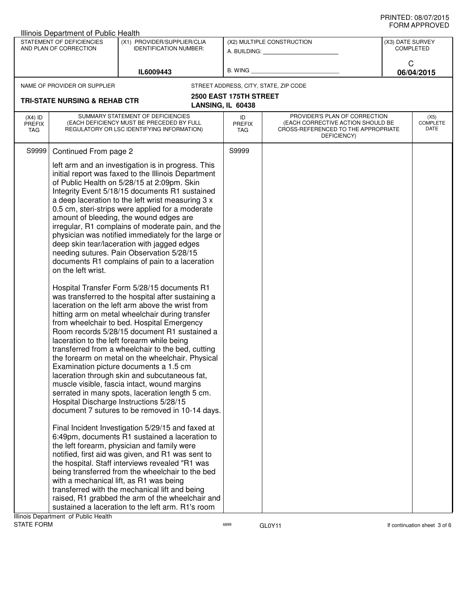| Illinois Department of Public Health                                                                                |                                          |                                                                                                                                                                                                                                                                                                                                                                                                                                                                                                                                                                                                                                                                                                                                                                                                                                                                                                                                                                                                                                                                                                                                                                                                                                                                                                                                                                                                                                                                                                                                                                                                                                                                                                                                                                                                                                                                                                              |                                             |                                                                                                                          |   | ש∟יטוו ו ותושוט          |
|---------------------------------------------------------------------------------------------------------------------|------------------------------------------|--------------------------------------------------------------------------------------------------------------------------------------------------------------------------------------------------------------------------------------------------------------------------------------------------------------------------------------------------------------------------------------------------------------------------------------------------------------------------------------------------------------------------------------------------------------------------------------------------------------------------------------------------------------------------------------------------------------------------------------------------------------------------------------------------------------------------------------------------------------------------------------------------------------------------------------------------------------------------------------------------------------------------------------------------------------------------------------------------------------------------------------------------------------------------------------------------------------------------------------------------------------------------------------------------------------------------------------------------------------------------------------------------------------------------------------------------------------------------------------------------------------------------------------------------------------------------------------------------------------------------------------------------------------------------------------------------------------------------------------------------------------------------------------------------------------------------------------------------------------------------------------------------------------|---------------------------------------------|--------------------------------------------------------------------------------------------------------------------------|---|--------------------------|
| STATEMENT OF DEFICIENCIES<br>(X1) PROVIDER/SUPPLIER/CLIA<br>AND PLAN OF CORRECTION<br><b>IDENTIFICATION NUMBER:</b> |                                          | (X2) MULTIPLE CONSTRUCTION                                                                                                                                                                                                                                                                                                                                                                                                                                                                                                                                                                                                                                                                                                                                                                                                                                                                                                                                                                                                                                                                                                                                                                                                                                                                                                                                                                                                                                                                                                                                                                                                                                                                                                                                                                                                                                                                                   |                                             | (X3) DATE SURVEY<br><b>COMPLETED</b>                                                                                     |   |                          |
|                                                                                                                     |                                          | IL6009443                                                                                                                                                                                                                                                                                                                                                                                                                                                                                                                                                                                                                                                                                                                                                                                                                                                                                                                                                                                                                                                                                                                                                                                                                                                                                                                                                                                                                                                                                                                                                                                                                                                                                                                                                                                                                                                                                                    |                                             | B. WING <b>Example 20</b>                                                                                                | C | 06/04/2015               |
|                                                                                                                     | NAME OF PROVIDER OR SUPPLIER             |                                                                                                                                                                                                                                                                                                                                                                                                                                                                                                                                                                                                                                                                                                                                                                                                                                                                                                                                                                                                                                                                                                                                                                                                                                                                                                                                                                                                                                                                                                                                                                                                                                                                                                                                                                                                                                                                                                              |                                             | STREET ADDRESS, CITY, STATE, ZIP CODE                                                                                    |   |                          |
|                                                                                                                     | <b>TRI-STATE NURSING &amp; REHAB CTR</b> |                                                                                                                                                                                                                                                                                                                                                                                                                                                                                                                                                                                                                                                                                                                                                                                                                                                                                                                                                                                                                                                                                                                                                                                                                                                                                                                                                                                                                                                                                                                                                                                                                                                                                                                                                                                                                                                                                                              | 2500 EAST 175TH STREET<br>LANSING, IL 60438 |                                                                                                                          |   |                          |
| $(X4)$ ID<br><b>PREFIX</b><br>TAG                                                                                   |                                          | SUMMARY STATEMENT OF DEFICIENCIES<br>(EACH DEFICIENCY MUST BE PRECEDED BY FULL<br>REGULATORY OR LSC IDENTIFYING INFORMATION)                                                                                                                                                                                                                                                                                                                                                                                                                                                                                                                                                                                                                                                                                                                                                                                                                                                                                                                                                                                                                                                                                                                                                                                                                                                                                                                                                                                                                                                                                                                                                                                                                                                                                                                                                                                 | ID<br><b>PREFIX</b><br>TAG                  | PROVIDER'S PLAN OF CORRECTION<br>(EACH CORRECTIVE ACTION SHOULD BE<br>CROSS-REFERENCED TO THE APPROPRIATE<br>DEFICIENCY) |   | (X5)<br>COMPLETE<br>DATE |
| S9999                                                                                                               | Continued From page 2                    |                                                                                                                                                                                                                                                                                                                                                                                                                                                                                                                                                                                                                                                                                                                                                                                                                                                                                                                                                                                                                                                                                                                                                                                                                                                                                                                                                                                                                                                                                                                                                                                                                                                                                                                                                                                                                                                                                                              | S9999                                       |                                                                                                                          |   |                          |
|                                                                                                                     | on the left wrist.                       | left arm and an investigation is in progress. This<br>initial report was faxed to the Illinois Department<br>of Public Health on 5/28/15 at 2:09pm. Skin<br>Integrity Event 5/18/15 documents R1 sustained<br>a deep laceration to the left wrist measuring 3 x<br>0.5 cm, steri-strips were applied for a moderate<br>amount of bleeding, the wound edges are<br>irregular, R1 complains of moderate pain, and the<br>physician was notified immediately for the large or<br>deep skin tear/laceration with jagged edges<br>needing sutures. Pain Observation 5/28/15<br>documents R1 complains of pain to a laceration<br>Hospital Transfer Form 5/28/15 documents R1<br>was transferred to the hospital after sustaining a<br>laceration on the left arm above the wrist from<br>hitting arm on metal wheelchair during transfer<br>from wheelchair to bed. Hospital Emergency<br>Room records 5/28/15 document R1 sustained a<br>laceration to the left forearm while being<br>transferred from a wheelchair to the bed, cutting<br>the forearm on metal on the wheelchair. Physical<br>Examination picture documents a 1.5 cm<br>laceration through skin and subcutaneous fat,<br>muscle visible, fascia intact, wound margins<br>serrated in many spots, laceration length 5 cm.<br>Hospital Discharge Instructions 5/28/15<br>document 7 sutures to be removed in 10-14 days.<br>Final Incident Investigation 5/29/15 and faxed at<br>6:49pm, documents R1 sustained a laceration to<br>the left forearm, physician and family were<br>notified, first aid was given, and R1 was sent to<br>the hospital. Staff interviews revealed "R1 was<br>being transferred from the wheelchair to the bed<br>with a mechanical lift, as R1 was being<br>transferred with the mechanical lift and being<br>raised, R1 grabbed the arm of the wheelchair and<br>sustained a laceration to the left arm. R1's room |                                             |                                                                                                                          |   |                          |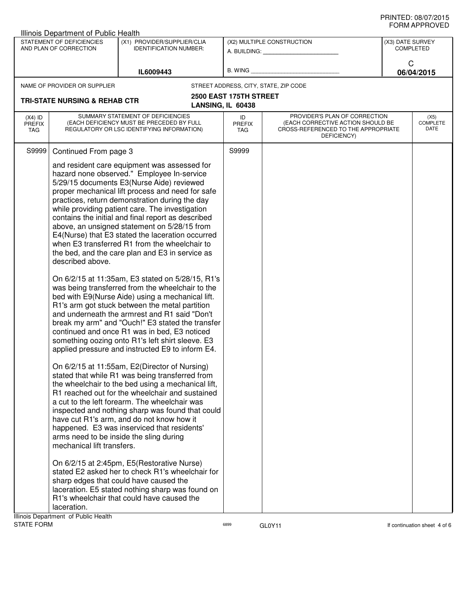| STATEMENT OF DEFICIENCIES<br>(X1) PROVIDER/SUPPLIER/CLIA<br>(X2) MULTIPLE CONSTRUCTION<br>(X3) DATE SURVEY<br>AND PLAN OF CORRECTION<br><b>IDENTIFICATION NUMBER:</b><br><b>COMPLETED</b><br>A. BUILDING: A. BUILDING:<br>C<br>B. WING<br>IL6009443<br>06/04/2015<br>STREET ADDRESS, CITY, STATE, ZIP CODE<br>NAME OF PROVIDER OR SUPPLIER<br>2500 EAST 175TH STREET<br><b>TRI-STATE NURSING &amp; REHAB CTR</b><br>LANSING, IL 60438<br>SUMMARY STATEMENT OF DEFICIENCIES<br>PROVIDER'S PLAN OF CORRECTION<br>$(X4)$ ID<br>ID<br>(X5)<br>(EACH DEFICIENCY MUST BE PRECEDED BY FULL<br>(EACH CORRECTIVE ACTION SHOULD BE<br><b>PREFIX</b><br><b>PREFIX</b><br>DATE<br>REGULATORY OR LSC IDENTIFYING INFORMATION)<br>CROSS-REFERENCED TO THE APPROPRIATE<br>TAG<br>TAG<br>DEFICIENCY)<br>S9999<br>Continued From page 3<br>S9999<br>and resident care equipment was assessed for<br>hazard none observed." Employee In-service<br>5/29/15 documents E3(Nurse Aide) reviewed<br>proper mechanical lift process and need for safe<br>practices, return demonstration during the day<br>while providing patient care. The investigation<br>contains the initial and final report as described<br>above, an unsigned statement on 5/28/15 from<br>E4(Nurse) that E3 stated the laceration occurred<br>when E3 transferred R1 from the wheelchair to<br>the bed, and the care plan and E3 in service as<br>described above.<br>On 6/2/15 at 11:35am, E3 stated on 5/28/15, R1's<br>was being transferred from the wheelchair to the<br>bed with E9(Nurse Aide) using a mechanical lift.<br>R1's arm got stuck between the metal partition<br>and underneath the armrest and R1 said "Don't<br>break my arm" and "Ouch!" E3 stated the transfer<br>continued and once R1 was in bed, E3 noticed<br>something oozing onto R1's left shirt sleeve. E3<br>applied pressure and instructed E9 to inform E4.<br>On 6/2/15 at 11:55am, E2(Director of Nursing)<br>stated that while R1 was being transferred from<br>the wheelchair to the bed using a mechanical lift,<br>R1 reached out for the wheelchair and sustained<br>a cut to the left forearm. The wheelchair was<br>inspected and nothing sharp was found that could<br>have cut R1's arm, and do not know how it<br>happened. E3 was inserviced that residents'<br>arms need to be inside the sling during<br>mechanical lift transfers.<br>On 6/2/15 at 2:45pm, E5(Restorative Nurse) |  | Illinois Department of Public Health |  |  |          |
|---------------------------------------------------------------------------------------------------------------------------------------------------------------------------------------------------------------------------------------------------------------------------------------------------------------------------------------------------------------------------------------------------------------------------------------------------------------------------------------------------------------------------------------------------------------------------------------------------------------------------------------------------------------------------------------------------------------------------------------------------------------------------------------------------------------------------------------------------------------------------------------------------------------------------------------------------------------------------------------------------------------------------------------------------------------------------------------------------------------------------------------------------------------------------------------------------------------------------------------------------------------------------------------------------------------------------------------------------------------------------------------------------------------------------------------------------------------------------------------------------------------------------------------------------------------------------------------------------------------------------------------------------------------------------------------------------------------------------------------------------------------------------------------------------------------------------------------------------------------------------------------------------------------------------------------------------------------------------------------------------------------------------------------------------------------------------------------------------------------------------------------------------------------------------------------------------------------------------------------------------------------------------------------------------------------------------------------------------------------------------------------------------------------------------------------|--|--------------------------------------|--|--|----------|
|                                                                                                                                                                                                                                                                                                                                                                                                                                                                                                                                                                                                                                                                                                                                                                                                                                                                                                                                                                                                                                                                                                                                                                                                                                                                                                                                                                                                                                                                                                                                                                                                                                                                                                                                                                                                                                                                                                                                                                                                                                                                                                                                                                                                                                                                                                                                                                                                                                       |  |                                      |  |  |          |
|                                                                                                                                                                                                                                                                                                                                                                                                                                                                                                                                                                                                                                                                                                                                                                                                                                                                                                                                                                                                                                                                                                                                                                                                                                                                                                                                                                                                                                                                                                                                                                                                                                                                                                                                                                                                                                                                                                                                                                                                                                                                                                                                                                                                                                                                                                                                                                                                                                       |  |                                      |  |  |          |
|                                                                                                                                                                                                                                                                                                                                                                                                                                                                                                                                                                                                                                                                                                                                                                                                                                                                                                                                                                                                                                                                                                                                                                                                                                                                                                                                                                                                                                                                                                                                                                                                                                                                                                                                                                                                                                                                                                                                                                                                                                                                                                                                                                                                                                                                                                                                                                                                                                       |  |                                      |  |  |          |
|                                                                                                                                                                                                                                                                                                                                                                                                                                                                                                                                                                                                                                                                                                                                                                                                                                                                                                                                                                                                                                                                                                                                                                                                                                                                                                                                                                                                                                                                                                                                                                                                                                                                                                                                                                                                                                                                                                                                                                                                                                                                                                                                                                                                                                                                                                                                                                                                                                       |  |                                      |  |  |          |
|                                                                                                                                                                                                                                                                                                                                                                                                                                                                                                                                                                                                                                                                                                                                                                                                                                                                                                                                                                                                                                                                                                                                                                                                                                                                                                                                                                                                                                                                                                                                                                                                                                                                                                                                                                                                                                                                                                                                                                                                                                                                                                                                                                                                                                                                                                                                                                                                                                       |  |                                      |  |  | COMPLETE |
|                                                                                                                                                                                                                                                                                                                                                                                                                                                                                                                                                                                                                                                                                                                                                                                                                                                                                                                                                                                                                                                                                                                                                                                                                                                                                                                                                                                                                                                                                                                                                                                                                                                                                                                                                                                                                                                                                                                                                                                                                                                                                                                                                                                                                                                                                                                                                                                                                                       |  |                                      |  |  |          |
| stated E2 asked her to check R1's wheelchair for<br>sharp edges that could have caused the<br>laceration. E5 stated nothing sharp was found on<br>R1's wheelchair that could have caused the<br>laceration.                                                                                                                                                                                                                                                                                                                                                                                                                                                                                                                                                                                                                                                                                                                                                                                                                                                                                                                                                                                                                                                                                                                                                                                                                                                                                                                                                                                                                                                                                                                                                                                                                                                                                                                                                                                                                                                                                                                                                                                                                                                                                                                                                                                                                           |  | Illinois Department of Public Health |  |  |          |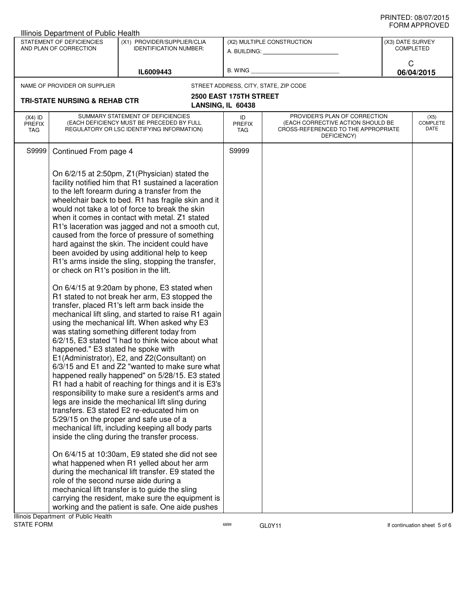|                                                                                                                     | Illinois Department of Public Health                                                                                                                          |                                                                                                                                                                                                                                                                                                                                                                                                                                                                                                                                                                                                                                                                                                                                                                                                                                                                                                                                                                                                                                                                                                                                                                                                                                                                                                                                                                                                                                                                                                                                                                                                                                                                                                                                                                                          |                                             |                                                                                                                          |   |                                 |
|---------------------------------------------------------------------------------------------------------------------|---------------------------------------------------------------------------------------------------------------------------------------------------------------|------------------------------------------------------------------------------------------------------------------------------------------------------------------------------------------------------------------------------------------------------------------------------------------------------------------------------------------------------------------------------------------------------------------------------------------------------------------------------------------------------------------------------------------------------------------------------------------------------------------------------------------------------------------------------------------------------------------------------------------------------------------------------------------------------------------------------------------------------------------------------------------------------------------------------------------------------------------------------------------------------------------------------------------------------------------------------------------------------------------------------------------------------------------------------------------------------------------------------------------------------------------------------------------------------------------------------------------------------------------------------------------------------------------------------------------------------------------------------------------------------------------------------------------------------------------------------------------------------------------------------------------------------------------------------------------------------------------------------------------------------------------------------------------|---------------------------------------------|--------------------------------------------------------------------------------------------------------------------------|---|---------------------------------|
| STATEMENT OF DEFICIENCIES<br>(X1) PROVIDER/SUPPLIER/CLIA<br>AND PLAN OF CORRECTION<br><b>IDENTIFICATION NUMBER:</b> |                                                                                                                                                               | (X2) MULTIPLE CONSTRUCTION                                                                                                                                                                                                                                                                                                                                                                                                                                                                                                                                                                                                                                                                                                                                                                                                                                                                                                                                                                                                                                                                                                                                                                                                                                                                                                                                                                                                                                                                                                                                                                                                                                                                                                                                                               |                                             | (X3) DATE SURVEY<br><b>COMPLETED</b>                                                                                     |   |                                 |
|                                                                                                                     |                                                                                                                                                               | IL6009443                                                                                                                                                                                                                                                                                                                                                                                                                                                                                                                                                                                                                                                                                                                                                                                                                                                                                                                                                                                                                                                                                                                                                                                                                                                                                                                                                                                                                                                                                                                                                                                                                                                                                                                                                                                | B. WING                                     |                                                                                                                          | C | 06/04/2015                      |
|                                                                                                                     | NAME OF PROVIDER OR SUPPLIER                                                                                                                                  |                                                                                                                                                                                                                                                                                                                                                                                                                                                                                                                                                                                                                                                                                                                                                                                                                                                                                                                                                                                                                                                                                                                                                                                                                                                                                                                                                                                                                                                                                                                                                                                                                                                                                                                                                                                          |                                             | STREET ADDRESS, CITY, STATE, ZIP CODE                                                                                    |   |                                 |
|                                                                                                                     | <b>TRI-STATE NURSING &amp; REHAB CTR</b>                                                                                                                      |                                                                                                                                                                                                                                                                                                                                                                                                                                                                                                                                                                                                                                                                                                                                                                                                                                                                                                                                                                                                                                                                                                                                                                                                                                                                                                                                                                                                                                                                                                                                                                                                                                                                                                                                                                                          | 2500 EAST 175TH STREET<br>LANSING, IL 60438 |                                                                                                                          |   |                                 |
| $(X4)$ ID<br><b>PREFIX</b><br>TAG                                                                                   |                                                                                                                                                               | SUMMARY STATEMENT OF DEFICIENCIES<br>(EACH DEFICIENCY MUST BE PRECEDED BY FULL<br>REGULATORY OR LSC IDENTIFYING INFORMATION)                                                                                                                                                                                                                                                                                                                                                                                                                                                                                                                                                                                                                                                                                                                                                                                                                                                                                                                                                                                                                                                                                                                                                                                                                                                                                                                                                                                                                                                                                                                                                                                                                                                             | ID<br><b>PREFIX</b><br><b>TAG</b>           | PROVIDER'S PLAN OF CORRECTION<br>(EACH CORRECTIVE ACTION SHOULD BE<br>CROSS-REFERENCED TO THE APPROPRIATE<br>DEFICIENCY) |   | (X5)<br><b>COMPLETE</b><br>DATE |
| S9999                                                                                                               | Continued From page 4                                                                                                                                         |                                                                                                                                                                                                                                                                                                                                                                                                                                                                                                                                                                                                                                                                                                                                                                                                                                                                                                                                                                                                                                                                                                                                                                                                                                                                                                                                                                                                                                                                                                                                                                                                                                                                                                                                                                                          | S9999                                       |                                                                                                                          |   |                                 |
|                                                                                                                     | or check on R1's position in the lift.<br>happened." E3 stated he spoke with<br>role of the second nurse aide during a<br>Ilinois Denartment of Public Health | On 6/2/15 at 2:50pm, Z1(Physician) stated the<br>facility notified him that R1 sustained a laceration<br>to the left forearm during a transfer from the<br>wheelchair back to bed. R1 has fragile skin and it<br>would not take a lot of force to break the skin<br>when it comes in contact with metal. Z1 stated<br>R1's laceration was jagged and not a smooth cut,<br>caused from the force of pressure of something<br>hard against the skin. The incident could have<br>been avoided by using additional help to keep<br>R1's arms inside the sling, stopping the transfer,<br>On 6/4/15 at 9:20am by phone, E3 stated when<br>R1 stated to not break her arm, E3 stopped the<br>transfer, placed R1's left arm back inside the<br>mechanical lift sling, and started to raise R1 again<br>using the mechanical lift. When asked why E3<br>was stating something different today from<br>6/2/15, E3 stated "I had to think twice about what<br>E1(Administrator), E2, and Z2(Consultant) on<br>6/3/15 and E1 and Z2 "wanted to make sure what<br>happened really happened" on 5/28/15. E3 stated<br>R1 had a habit of reaching for things and it is E3's<br>responsibility to make sure a resident's arms and<br>legs are inside the mechanical lift sling during<br>transfers. E3 stated E2 re-educated him on<br>5/29/15 on the proper and safe use of a<br>mechanical lift, including keeping all body parts<br>inside the cling during the transfer process.<br>On 6/4/15 at 10:30am, E9 stated she did not see<br>what happened when R1 yelled about her arm<br>during the mechanical lift transfer. E9 stated the<br>mechanical lift transfer is to guide the sling<br>carrying the resident, make sure the equipment is<br>working and the patient is safe. One aide pushes |                                             |                                                                                                                          |   |                                 |

ERSP GLOY11 CONTROLLER GRAM GLOY11